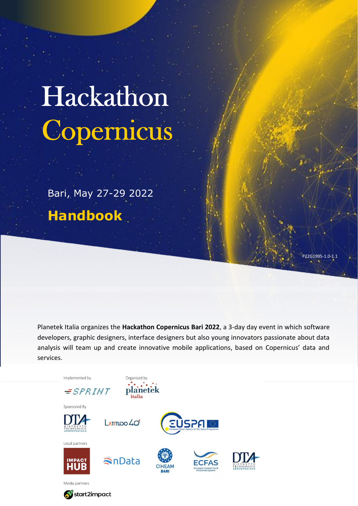# Hackathon Copernicus

Bari, May 27-29 2022 **Handbook**

P22G1995-1.0-

Planetek Italia organizes the **Hackathon Copernicus Bari 2022**, a 3-day day event in which software developers, graphic designers, interface designers but also young innovators passionate about data analysis will team up and create innovative mobile applications, based on Copernicus' data and services.

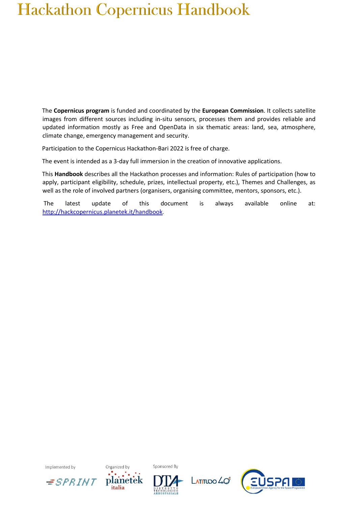The **Copernicus program** is funded and coordinated by the **European Commission**. It collects satellite images from different sources including in-situ sensors, processes them and provides reliable and updated information mostly as Free and OpenData in six thematic areas: land, sea, atmosphere, climate change, emergency management and security.

Participation to the Copernicus Hackathon-Bari 2022 is free of charge.

The event is intended as a 3-day full immersion in the creation of innovative applications.

This **Handbook** describes all the Hackathon processes and information: Rules of participation (how to apply, participant eligibility, schedule, prizes, intellectual property, etc.), Themes and Challenges, as well as the role of involved partners (organisers, organising committee, mentors, sponsors, etc.).

The latest update of this document is always available online at: [http://hackcopernicus.planetek.it/handbook.](http://hackcopernicus.planetek.it/handbook)

Implemented by







Snonsored By



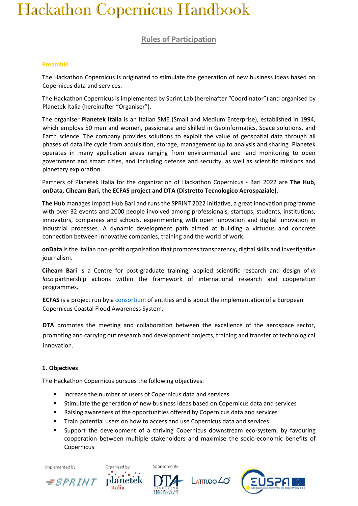### **Rules of Participation**

#### **Preamble**

The Hackathon Copernicus is originated to stimulate the generation of new business ideas based on Copernicus data and services.

The Hackathon Copernicus is implemented by Sprint Lab (hereinafter "Coordinator") and organised by Planetek Italia (hereinafter "Organiser").

The organiser **Planetek Italia** is an Italian SME (Small and Medium Enterprise), established in 1994, which employs 50 men and women, passionate and skilled in Geoinformatics, Space solutions, and Earth science. The company provides solutions to exploit the value of geospatial data through all phases of data life cycle from acquisition, storage, management up to analysis and sharing. Planetek operates in many application areas ranging from environmental and land monitoring to open government and smart cities, and including defense and security, as well as scientific missions and planetary exploration.

Partners of Planetek Italia for the organization of Hackathon Copernicus - Bari 2022 are **The Hub**, **onData, Ciheam Bari, the ECFAS project and DTA (Distretto Tecnologico Aerospaziale)**.

**The Hub** manages Impact Hub Bari and runs the SPRINT 2022 initiative, a great innovation programme with over 32 events and 2000 people involved among professionals, startups, students, institutions, innovators, companies and schools, experimenting with open innovation and digital innovation in industrial processes. A dynamic development path aimed at building a virtuous and concrete connection between innovative companies, training and the world of work.

**onData** is the Italian non-profit organisation that promotes transparency, digital skills and investigative journalism.

**Ciheam Bari** is a Centre for post-graduate training, applied scientific research and design of *in loco* partnership actions within the framework of international research and cooperation programmes.

**ECFAS** is a project run by [a consortium](https://www.ecfas.eu/consortium/) of entities and is about the implementation of a European Copernicus Coastal Flood Awareness System.

**DTA** promotes the meeting and collaboration between the excellence of the aerospace sector, promoting and carrying out research and development projects, training and transfer of technological innovation.

#### **1. Objectives**

The Hackathon Copernicus pursues the following objectives:

- Increase the number of users of Copernicus data and services
- **EXECT** Stimulate the generation of new business ideas based on Copernicus data and services
- Raising awareness of the opportunities offered by Copernicus data and services
- Train potential users on how to access and use Copernicus data and services
- Support the development of a thriving Copernicus downstream eco-system, by favouring cooperation between multiple stakeholders and maximise the socio-economic benefits of Copernicus

Implemented by







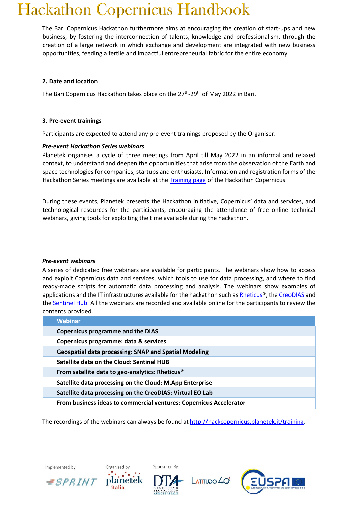The Bari Copernicus Hackathon furthermore aims at encouraging the creation of start-ups and new business, by fostering the interconnection of talents, knowledge and professionalism, through the creation of a large network in which exchange and development are integrated with new business opportunities, feeding a fertile and impactful entrepreneurial fabric for the entire economy.

#### **2. Date and location**

The Bari Copernicus Hackathon takes place on the 27<sup>th</sup>-29<sup>th</sup> of May 2022 in Bari.

#### **3. Pre-event trainings**

Participants are expected to attend any pre-event trainings proposed by the Organiser.

#### *Pre-event Hackathon Series webinars*

Planetek organises a cycle of three meetings from April till May 2022 in an informal and relaxed context, to understand and deepen the opportunities that arise from the observation of the Earth and space technologies for companies, startups and enthusiasts. Information and registration forms of the Hackathon Series meetings are available at the Training page of the Hackathon Copernicus.

During these events, Planetek presents the Hackathon initiative, Copernicus' data and services, and technological resources for the participants, encouraging the attendance of free online technical webinars, giving tools for exploiting the time available during the hackathon.

#### *Pre-event webinars*

A series of dedicated free webinars are available for participants. The webinars show how to access and exploit Copernicus data and services, which tools to use for data processing, and where to find ready-made scripts for automatic data processing and analysis. The webinars show examples of applications and the IT infrastructures available for the hackathon such [as Rheticus®,](http://www.rheticus.eu/) t[he CreoDIAS](https://creodias.eu/) [an](https://creodias.eu/)d the [Sentinel Hub.](https://www.sentinel-hub.com/) All the webinars are recorded and available online for the participants to review the contents provided.

| <b>Webinar</b>                                                     |
|--------------------------------------------------------------------|
| <b>Copernicus programme and the DIAS</b>                           |
| Copernicus programme: data & services                              |
| <b>Geospatial data processing: SNAP and Spatial Modeling</b>       |
| Satellite data on the Cloud: Sentinel HUB                          |
| From satellite data to geo-analytics: Rheticus <sup>®</sup>        |
| Satellite data processing on the Cloud: M.App Enterprise           |
| Satellite data processing on the CreoDIAS: Virtual EO Lab          |
| From business ideas to commercial ventures: Copernicus Accelerator |

The recordings of the webinars can always be found a[t](http://hackcopernicus.planetek.it/training) [http://hackcopernicus.planetek.it/training.](http://hackcopernicus.planetek.it/training)



Implemented by





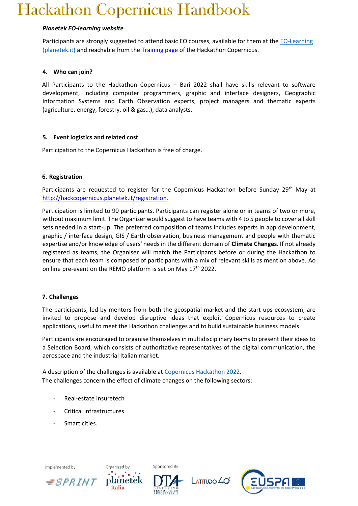#### *Planetek EO-learning website*

Participants are strongly suggested to attend basic EO courses, available for them at the [EO-Learning](https://eolearning.planetek.it/)  [\(planetek.it\)](https://eolearning.planetek.it/) and reachable from the Training page of the Hackathon Copernicus.

#### **4. Who can join?**

All Participants to the Hackathon Copernicus – Bari 2022 shall have skills relevant to software development, including computer programmers, graphic and interface designers, Geographic Information Systems and Earth Observation experts, project managers and thematic experts (agriculture, energy, forestry, oil & gas…), data analysts.

#### **5. Event logistics and related cost**

Participation to the Copernicus Hackathon is free of charge.

#### **6. Registration**

Participants are requested to register for the Copernicus Hackathon before Sunday 29<sup>th</sup> May at [http://hackcopernicus.planetek.it/registration.](http://hackcopernicus.planetek.it/registration)

Participation is limited to 90 participants. Participants can register alone or in teams of two or more, without maximum limit. The Organiser would suggest to have teams with 4 to 5 people to cover all skill sets needed in a start-up. The preferred composition of teams includes experts in app development, graphic / interface design, GIS / Earth observation, business management and people with thematic expertise and/or knowledge of users' needs in the different domain of **Climate Changes**. If not already registered as teams, the Organiser will match the Participants before or during the Hackathon to ensure that each team is composed of participants with a mix of relevant skills as mention above. Ao on line pre-event on the REMO platform is set on May 17<sup>th</sup> 2022.

#### **7. Challenges**

The participants, led by mentors from both the geospatial market and the start-ups ecosystem, are invited to propose and develop disruptive ideas that exploit Copernicus resources to create applications, useful to meet the Hackathon challenges and to build sustainable business models.

Participants are encouraged to organise themselves in multidisciplinary teams to present their ideas to a Selection Board, which consists of authoritative representatives of the digital communication, the aerospace and the industrial Italian market.

A description of the challenges is available a[t Copernicus Hackathon 2022.](https://www.hackcopernicus.planetek.it/) The challenges concern the effect of climate changes on the following sectors:

- Real-estate insuretech
- Critical infrastructures
- Smart cities.







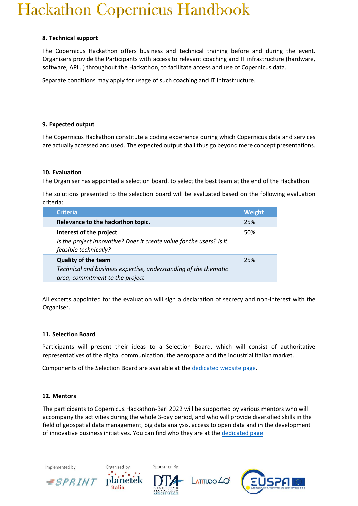#### **8. Technical support**

The Copernicus Hackathon offers business and technical training before and during the event. Organisers provide the Participants with access to relevant coaching and IT infrastructure (hardware, software, API…) throughout the Hackathon, to facilitate access and use of Copernicus data.

Separate conditions may apply for usage of such coaching and IT infrastructure.

#### **9. Expected output**

The Copernicus Hackathon constitute a coding experience during which Copernicus data and services are actually accessed and used. The expected output shall thus go beyond mere concept presentations.

#### **10. Evaluation**

The Organiser has appointed a selection board, to select the best team at the end of the Hackathon.

The solutions presented to the selection board will be evaluated based on the following evaluation criteria:

| <b>Criteria</b>                                                                                                                  | Weight |
|----------------------------------------------------------------------------------------------------------------------------------|--------|
| Relevance to the hackathon topic.                                                                                                | 25%    |
| Interest of the project<br>Is the project innovative? Does it create value for the users? Is it<br>feasible technically?         | 50%    |
| <b>Quality of the team</b><br>Technical and business expertise, understanding of the thematic<br>area, commitment to the project | 25%    |

All experts appointed for the evaluation will sign a declaration of secrecy and non-interest with the Organiser.

#### **11. Selection Board**

Participants will present their ideas to a Selection Board, which will consist of authoritative representatives of the digital communication, the aerospace and the industrial Italian market.

Components of the Selection Board are available at the [dedicated website page.](https://www.hackcopernicus.planetek.it/judges)

#### **12. Mentors**

The participants to Copernicus Hackathon-Bari 2022 will be supported by various mentors who will accompany the activities during the whole 3-day period, and who will provide diversified skills in the field of geospatial data management, big data analysis, access to open data and in the development of innovative business initiatives. You can find who they are at the [dedicated page.](https://www.hackcopernicus.planetek.it/coaches)

Implemented by





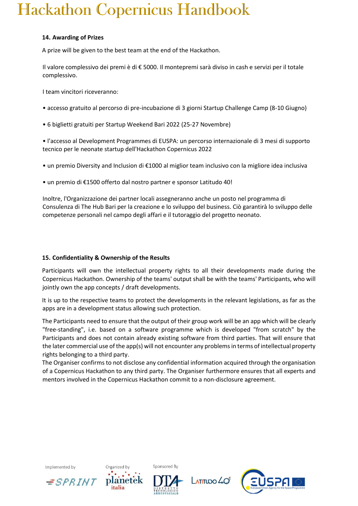#### **14. Awarding of Prizes**

A prize will be given to the best team at the end of the Hackathon.

Il valore complessivo dei premi è di € 5000. Il montepremi sarà diviso in cash e servizi per il totale complessivo.

I team vincitori riceveranno:

- accesso gratuito al percorso di pre-incubazione di 3 giorni Startup Challenge Camp (8-10 Giugno)
- 6 biglietti gratuiti per Startup Weekend Bari 2022 (25-27 Novembre)

• l'accesso al Development Programmes di EUSPA: un percorso internazionale di 3 mesi di supporto tecnico per le neonate startup dell'Hackathon Copernicus 2022

• un premio Diversity and Inclusion di €1000 al miglior team inclusivo con la migliore idea inclusiva

• un premio di €1500 offerto dal nostro partner e sponsor Latitudo 40!

Inoltre, l'Organizzazione dei partner locali assegneranno anche un posto nel programma di Consulenza di The Hub Bari per la creazione e lo sviluppo del business. Ciò garantirà lo sviluppo delle competenze personali nel campo degli affari e il tutoraggio del progetto neonato.

#### **15. Confidentiality & Ownership of the Results**

Participants will own the intellectual property rights to all their developments made during the Copernicus Hackathon. Ownership of the teams' output shall be with the teams' Participants, who will jointly own the app concepts / draft developments.

It is up to the respective teams to protect the developments in the relevant legislations, as far as the apps are in a development status allowing such protection.

The Participants need to ensure that the output of their group work will be an app which will be clearly "free-standing", i.e. based on a software programme which is developed "from scratch" by the Participants and does not contain already existing software from third parties. That will ensure that the later commercial use of the app(s) will not encounter any problems in terms of intellectual property rights belonging to a third party.

The Organiser confirms to not disclose any confidential information acquired through the organisation of a Copernicus Hackathon to any third party. The Organiser furthermore ensures that all experts and mentors involved in the Copernicus Hackathon commit to a non-disclosure agreement.

Implemented by









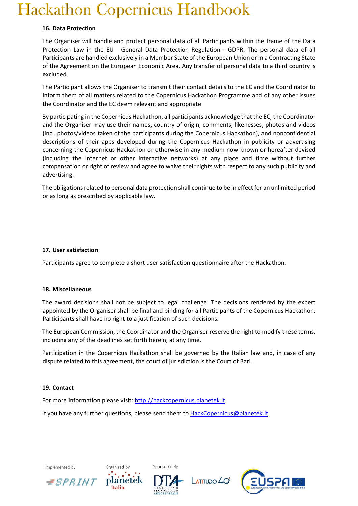#### **16. Data Protection**

The Organiser will handle and protect personal data of all Participants within the frame of the Data Protection Law in the EU - General Data Protection Regulation - GDPR. The personal data of all Participants are handled exclusively in a Member State of the European Union or in a Contracting State of the Agreement on the European Economic Area. Any transfer of personal data to a third country is excluded.

The Participant allows the Organiser to transmit their contact details to the EC and the Coordinator to inform them of all matters related to the Copernicus Hackathon Programme and of any other issues the Coordinator and the EC deem relevant and appropriate.

By participating in the Copernicus Hackathon, all participants acknowledge that the EC, the Coordinator and the Organiser may use their names, country of origin, comments, likenesses, photos and videos (incl. photos/videos taken of the participants during the Copernicus Hackathon), and nonconfidential descriptions of their apps developed during the Copernicus Hackathon in publicity or advertising concerning the Copernicus Hackathon or otherwise in any medium now known or hereafter devised (including the Internet or other interactive networks) at any place and time without further compensation or right of review and agree to waive their rights with respect to any such publicity and advertising.

The obligations related to personal data protection shall continue to be in effect for an unlimited period or as long as prescribed by applicable law.

#### **17. User satisfaction**

Participants agree to complete a short user satisfaction questionnaire after the Hackathon.

#### **18. Miscellaneous**

The award decisions shall not be subject to legal challenge. The decisions rendered by the expert appointed by the Organiser shall be final and binding for all Participants of the Copernicus Hackathon. Participants shall have no right to a justification of such decisions.

The European Commission, the Coordinator and the Organiser reserve the right to modify these terms, including any of the deadlines set forth herein, at any time.

Participation in the Copernicus Hackathon shall be governed by the Italian law and, in case of any dispute related to this agreement, the court of jurisdiction is the Court of Bari.

#### **19. Contact**

For more information please visit[:](http://hackcopernicus.planetek.it/) [http://hackcopernicus.planetek.it](http://hackcopernicus.planetek.it/)

If you have any further questions, please send them to HackCopernicus@planetek.it

Implemented by